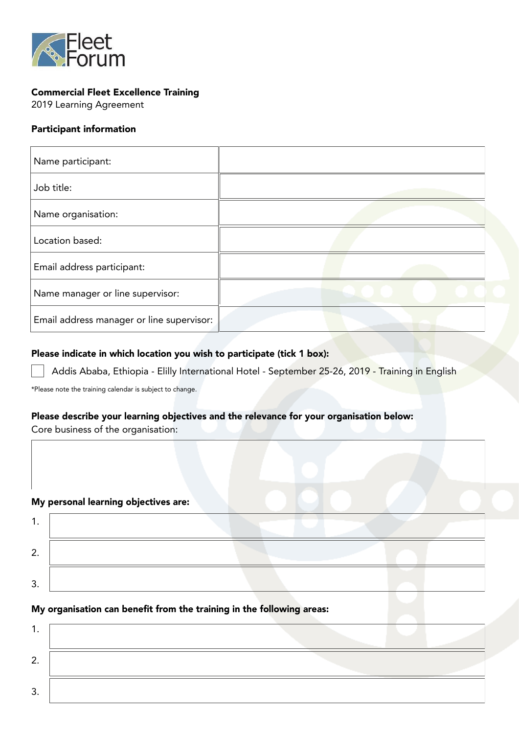

# Commercial Fleet Excellence Training

2019 Learning Agreement

## Participant information

| Name participant:                         |  |
|-------------------------------------------|--|
| Job title:                                |  |
| Name organisation:                        |  |
| Location based:                           |  |
| Email address participant:                |  |
| Name manager or line supervisor:          |  |
| Email address manager or line supervisor: |  |

### Please indicate in which location you wish to participate (tick 1 box):

Addis Ababa, Ethiopia - Elilly International Hotel - September 25-26, 2019 - Training in English

\*Please note the training calendar is subject to change.

## Please describe your learning objectives and the relevance for your organisation below:

Core business of the organisation:

### My personal learning objectives are:

| , |  |
|---|--|
| ີ |  |

## My organisation can benefit from the training in the following areas:

| . J . |  |  |  |
|-------|--|--|--|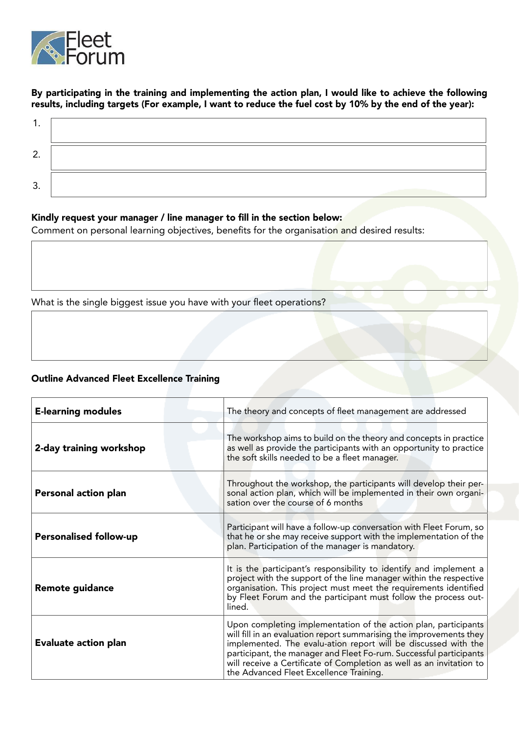

## By participating in the training and implementing the action plan, I would like to achieve the following results, including targets (For example, I want to reduce the fuel cost by 10% by the end of the year):

| ◠<br><u>.</u> |  |
|---------------|--|
| ◠<br>ັ        |  |

#### Kindly request your manager / line manager to fill in the section below:

Comment on personal learning objectives, benefits for the organisation and desired results:

What is the single biggest issue you have with your fleet operations?

# Outline Advanced Fleet Excellence Training

| <b>E-learning modules</b>     | The theory and concepts of fleet management are addressed                                                                                                                                                                                                                                                                                                                                         |  |
|-------------------------------|---------------------------------------------------------------------------------------------------------------------------------------------------------------------------------------------------------------------------------------------------------------------------------------------------------------------------------------------------------------------------------------------------|--|
| 2-day training workshop       | The workshop aims to build on the theory and concepts in practice<br>as well as provide the participants with an opportunity to practice<br>the soft skills needed to be a fleet manager.                                                                                                                                                                                                         |  |
| Personal action plan          | Throughout the workshop, the participants will develop their per-<br>sonal action plan, which will be implemented in their own organi-<br>sation over the course of 6 months                                                                                                                                                                                                                      |  |
|                               |                                                                                                                                                                                                                                                                                                                                                                                                   |  |
| <b>Personalised follow-up</b> | Participant will have a follow-up conversation with Fleet Forum, so<br>that he or she may receive support with the implementation of the<br>plan. Participation of the manager is mandatory.                                                                                                                                                                                                      |  |
| <b>Remote guidance</b>        | It is the participant's responsibility to identify and implement a<br>project with the support of the line manager within the respective<br>organisation. This project must meet the requirements identified<br>by Fleet Forum and the participant must follow the process out-<br>lined.                                                                                                         |  |
| <b>Evaluate action plan</b>   | Upon completing implementation of the action plan, participants<br>will fill in an evaluation report summarising the improvements they<br>implemented. The evalu-ation report will be discussed with the<br>participant, the manager and Fleet Fo-rum. Successful participants<br>will receive a Certificate of Completion as well as an invitation to<br>the Advanced Fleet Excellence Training. |  |